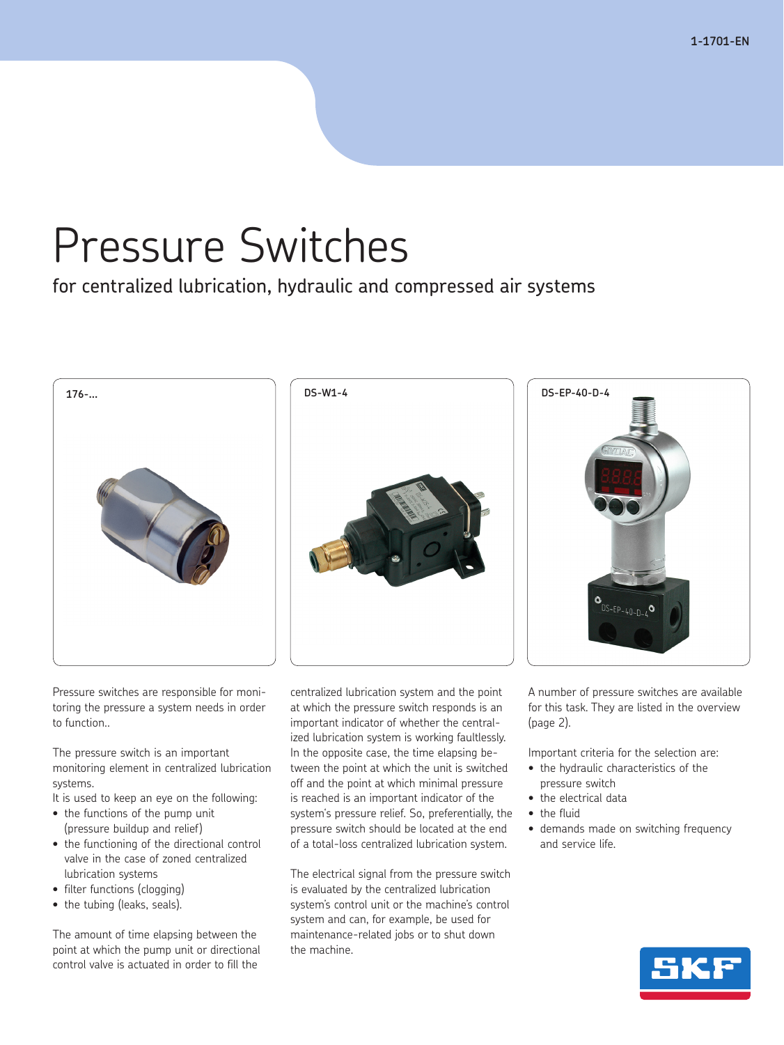**1-1701-EN**

# Pressure Switches

for centralized lubrication, hydraulic and compressed air systems



Pressure switches are responsible for monitoring the pressure a system needs in order to function..

The pressure switch is an important monitoring element in centralized lubrication systems.

It is used to keep an eye on the following:

- the functions of the pump unit (pressure buildup and relief)
- the functioning of the directional control valve in the case of zoned centralized lubrication systems
- filter functions (clogging)
- the tubing (leaks, seals).

The amount of time elapsing between the point at which the pump unit or directional control valve is actuated in order to fill the

centralized lubrication system and the point at which the pressure switch responds is an important indicator of whether the centralized lubrication system is working faultlessly. In the opposite case, the time elapsing between the point at which the unit is switched off and the point at which minimal pressure is reached is an important indicator of the system's pressure relief. So, preferentially, the pressure switch should be located at the end of a total-loss centralized lubrication system.

The electrical signal from the pressure switch is evaluated by the centralized lubrication system's control unit or the machine's control system and can, for example, be used for maintenance-related jobs or to shut down the machine.

A number of pressure switches are available for this task. They are listed in the overview (page 2).

Important criteria for the selection are:

- the hydraulic characteristics of the pressure switch
- the electrical data
- the fluid
- demands made on switching frequency and service life.

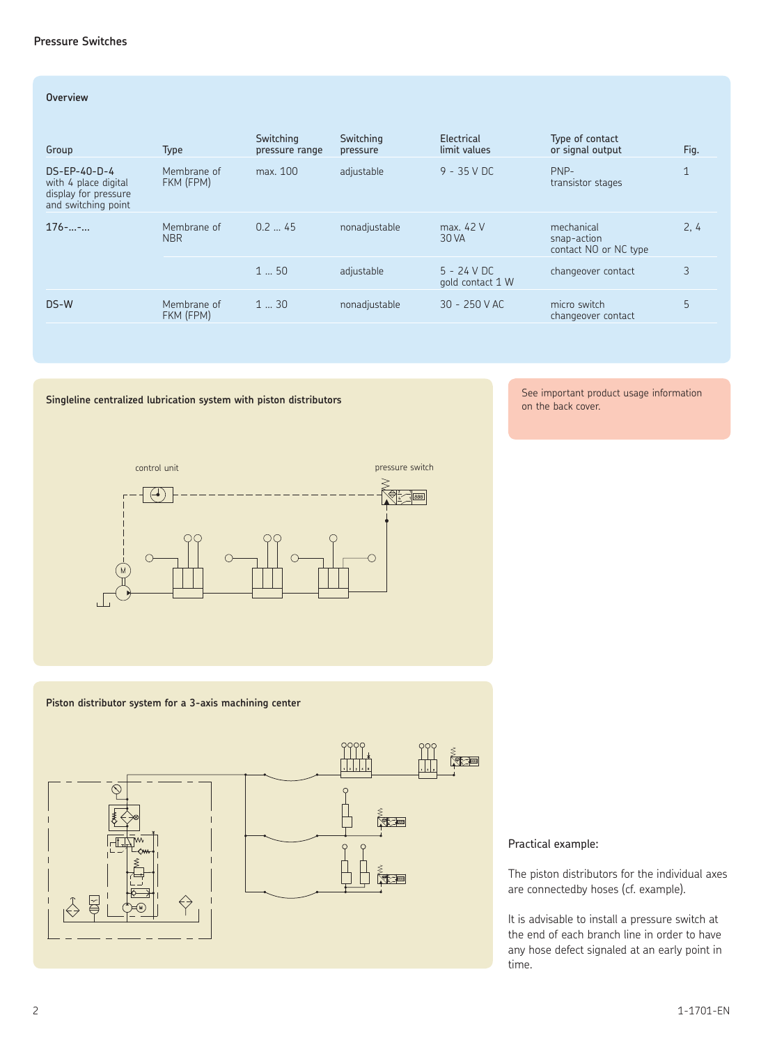#### **Pressure Switches**

#### **Overview**

| Group                                                                                 | Type                      | Switching<br>pressure range | Switching<br>pressure | Electrical<br>limit values        | Type of contact<br>or signal output                | Fig. |
|---------------------------------------------------------------------------------------|---------------------------|-----------------------------|-----------------------|-----------------------------------|----------------------------------------------------|------|
| $DS-EP-40-D-4$<br>with 4 place digital<br>display for pressure<br>and switching point | Membrane of<br>FKM (FPM)  | max. 100                    | adjustable            | $9 - 35$ V DC                     | PNP-<br>transistor stages                          |      |
| $176 -  - $                                                                           | Membrane of<br><b>NBR</b> | 0.245                       | nonadjustable         | max. 42 V<br>30 VA                | mechanical<br>snap-action<br>contact NO or NC type | 2, 4 |
|                                                                                       |                           | 150                         | adjustable            | $5 - 24$ V DC<br>gold contact 1 W | changeover contact                                 | 3    |
| DS-W                                                                                  | Membrane of<br>FKM (FPM)  | 130                         | nonadjustable         | $30 - 250$ V AC                   | micro switch<br>changeover contact                 | 5    |

#### **Singleline centralized lubrication system with piston distributors**

See important product usage information on the back cover.



#### **Piston distributor system for a 3-axis machining center**



#### Practical example:

The piston distributors for the individual axes are connectedby hoses (cf. example).

It is advisable to install a pressure switch at the end of each branch line in order to have any hose defect signaled at an early point in time.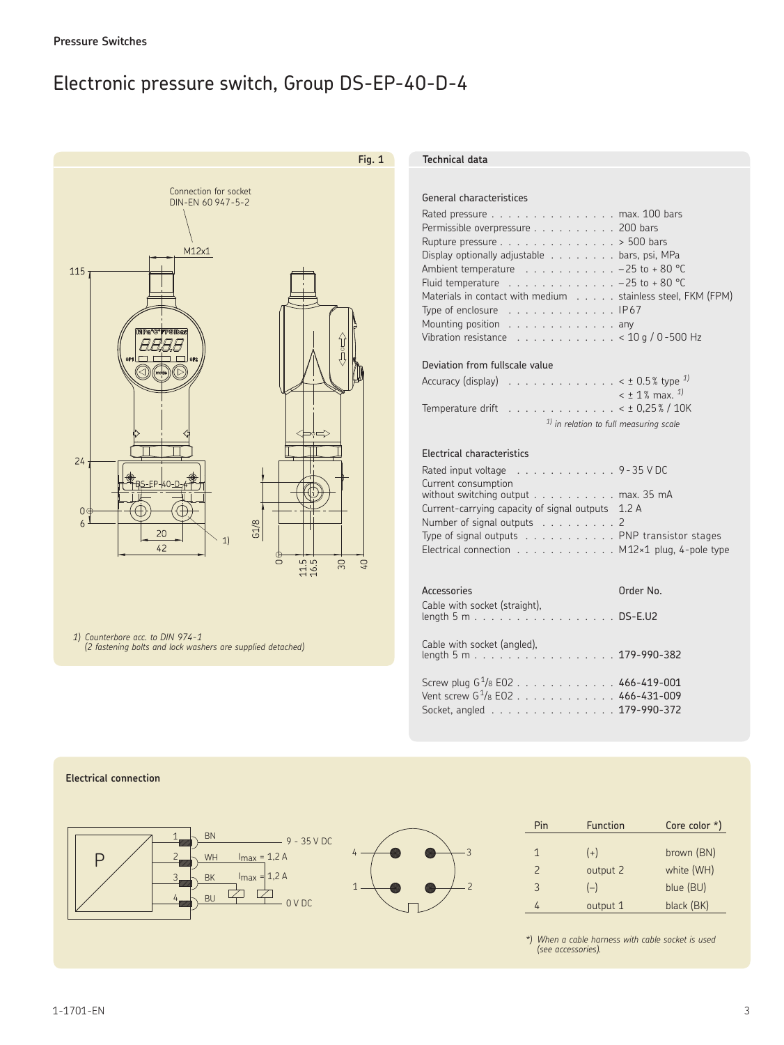### Electronic pressure switch, Group DS-EP-40-D-4



*1*) Counterbore acc. to DIN 974-1 *(2 fastening bolts and lock washers are supplied detached)*

#### **Fig. 1 Technical data**

#### General characteristices

| Rated pressure max. 100 bars                                                |
|-----------------------------------------------------------------------------|
| Permissible overpressure 200 bars                                           |
| Rupture pressure $\ldots \ldots \ldots \ldots \ldots > 500$ bars            |
| Display optionally adjustable bars, psi, MPa                                |
| Ambient temperature $\ldots \ldots \ldots \ldots -25$ to +80 °C             |
| Fluid temperature $\ldots \ldots \ldots \ldots \ldots -25$ to +80 °C        |
| Materials in contact with medium stainless steel, FKM (FPM)                 |
| Type of enclosure $\ldots \ldots \ldots \ldots \ldots$ . IP67               |
| Mounting position any                                                       |
| Vibration resistance $\ldots \ldots \ldots \ldots \ldots$ < 10 g / 0-500 Hz |

#### Deviation from fullscale value

| Accuracy (display) $\ldots \ldots \ldots \ldots \ldots \ldots \times \pm 0.5$ % type $^{1}$ |
|---------------------------------------------------------------------------------------------|
| $<$ ± 1% max. $^{1}$                                                                        |
| Temperature drift $\ldots \ldots \ldots \ldots \ldots \times 10,25\%$ / 10K                 |
| $1$ ) in relation to full measuring scale                                                   |

#### Electrical characteristics

3

2

| Rated input voltage $\ldots \ldots \ldots \ldots \ldots$ 9-35 V DC                   |  |
|--------------------------------------------------------------------------------------|--|
| Current consumption<br>without switching output max. 35 mA                           |  |
| Current-carrying capacity of signal outputs 1.2 A                                    |  |
| Number of signal outputs $\ldots$ 2                                                  |  |
| Type of signal outputs $\ldots \ldots \ldots$ . PNP transistor stages                |  |
| Electrical connection $\ldots \ldots \ldots \ldots$ M12 $\times$ 1 plug, 4-pole type |  |
|                                                                                      |  |

#### Accessories **Calculation Community** Order No. Cable with socket (straight), length 5 m . . . . . . . . . . . . . . . . . DSE.U2

Cable with socket (angled), length 5 m . 179-990382

Screw plug  $G^{1}/_8$  E02 . . . . . . . . . . . . 466-419-001 Vent screw G<sup>1</sup>/8 EO2 . . . . . . . . . . . . 466-431-009 Socket, angled . . . . . . . . . . . . . . . 179-990-372

#### **Electrical connection**



| Pin           | <b>Function</b> | Core color $*$ ) |
|---------------|-----------------|------------------|
| 1             | $(+)$           | brown (BN)       |
| $\mathcal{P}$ | output 2        | white (WH)       |
| 3             | $(-)$           | blue (BU)        |
|               | output 1        | black (BK)       |

*\*) When a cable harness with cable socket is used (see accessories).*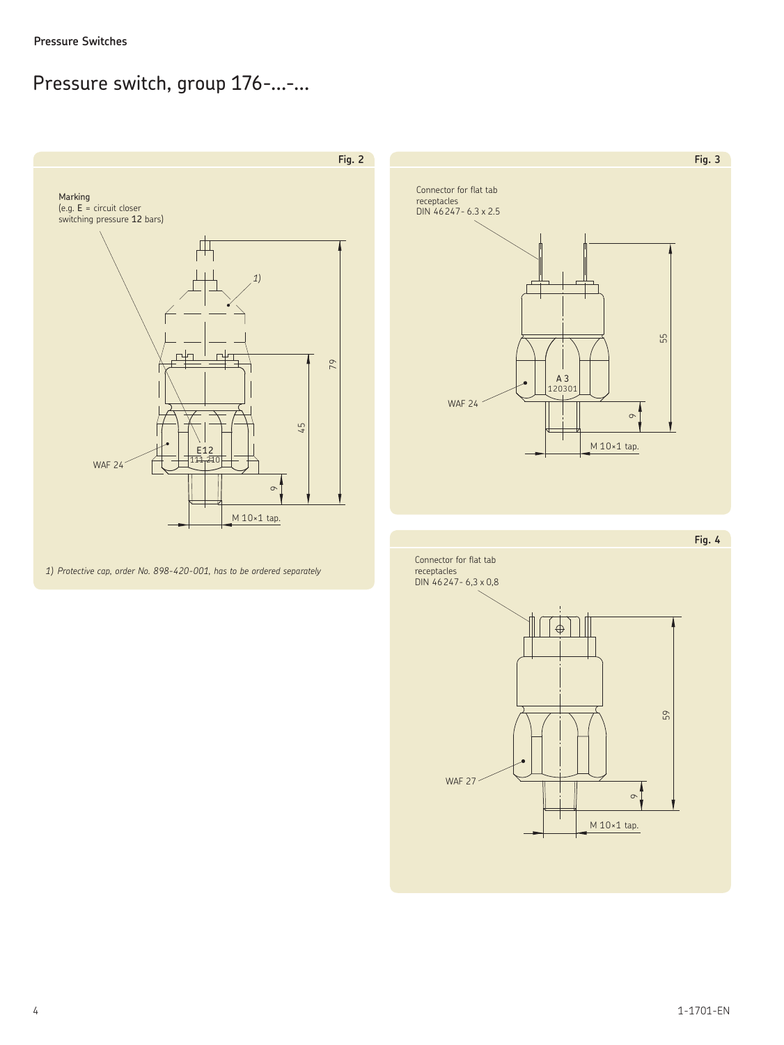### Pressure switch, group 176-...-...



*1) Protective cap, order No. 898-420-001, has to be ordered separately*



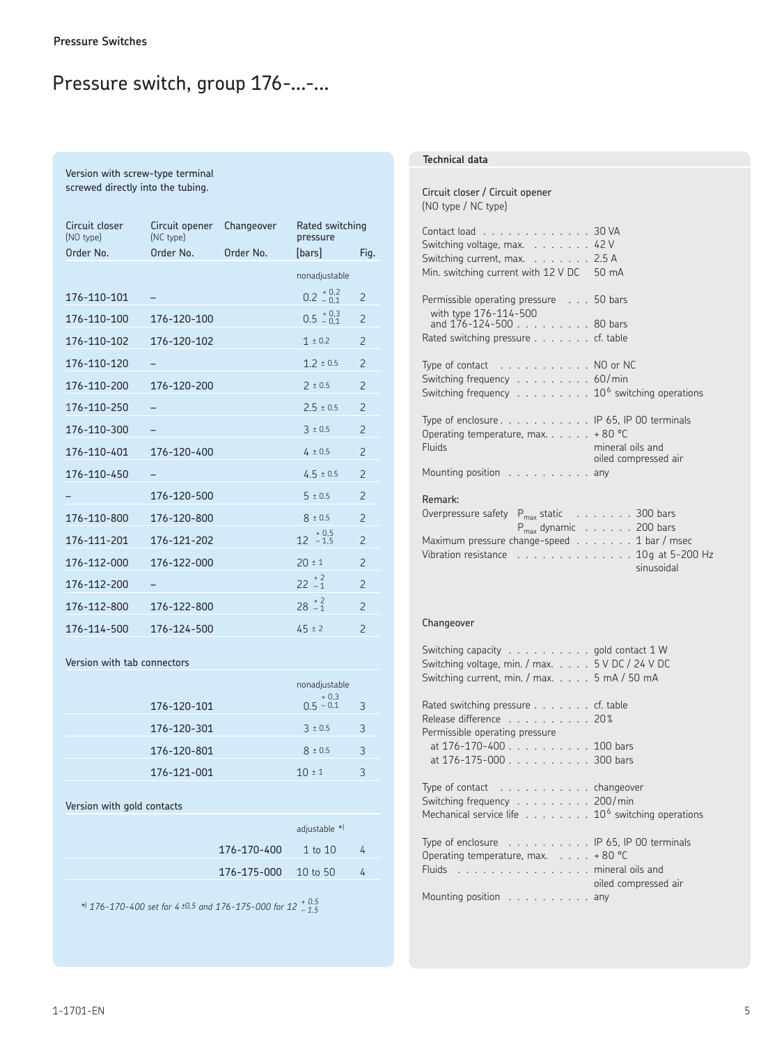### Pressure switch, group 176-...-...

#### Version with screw-type terminal screwed directly into the tubing.

| Circuit closer<br>(NO type) | Circuit opener<br>(NC type) | Changeover | Rated switching<br>pressure |                          |
|-----------------------------|-----------------------------|------------|-----------------------------|--------------------------|
| Order No.                   | Order No.                   | Order No.  | [bars]                      | Fig.                     |
|                             |                             |            | nonadjustable               |                          |
| 176-110-101                 |                             |            | $0.2^{+0.2}_{-0.1}$         | $\overline{c}$           |
| 176-110-100                 | 176-120-100                 |            | $0.5^{+0.3}_{-0.1}$         | $\overline{c}$           |
| 176-110-102                 | 176-120-102                 |            | $1 \pm 0.2$                 | $\overline{2}$           |
| 176-110-120                 |                             |            | $1.2 \pm 0.5$               | $\mathcal{P}$            |
| 176-110-200                 | 176-120-200                 |            | $2 \pm 0.5$                 | $\overline{2}$           |
| 176-110-250                 |                             |            | $2.5 \pm 0.5$               | $\overline{\phantom{0}}$ |
| 176-110-300                 |                             |            | $3 \pm 0.5$                 | $\mathcal{P}$            |
| 176-110-401                 | 176-120-400                 |            | $4 \pm 0.5$                 | $\overline{2}$           |
| 176-110-450                 |                             |            | $4.5 \pm 0.5$               | $\overline{\phantom{0}}$ |
|                             | 176-120-500                 |            | $5 \pm 0.5$                 | $\overline{2}$           |
| 176-110-800                 | 176-120-800                 |            | $8 \pm 0.5$                 | $\overline{2}$           |
| 176-111-201                 | 176-121-202                 |            | $12 + 0.5$<br>$-1.5$        | $\overline{\phantom{0}}$ |
| 176-112-000                 | 176-122-000                 |            | $20 \pm 1$                  | $\overline{2}$           |
| 176-112-200                 |                             |            | $22 \div 2$                 | $\overline{\phantom{0}}$ |
| 176-112-800                 | 176-122-800                 |            | $28 \tbinom{+2}{-1}$        | $\overline{2}$           |
| 176-114-500                 | 176-124-500                 |            | $45 \pm 2$                  | $\overline{c}$           |

#### Version with tab connectors

|             | nonadjustable        |               |
|-------------|----------------------|---------------|
| 176-120-101 | $+0,3$<br>0.5 $-0.1$ | $\mathcal{R}$ |
| 176-120-301 | $3 \pm 0.5$          | ़             |
| 176-120-801 | $8 \pm 0.5$          | 3             |
| 176-121-001 | $10 \pm 1$           |               |

#### Version with gold contacts

| adjustable $*$             |                |
|----------------------------|----------------|
| $176 - 170 - 400$ 1 to 10  |                |
| $176 - 175 - 000$ 10 to 50 | $\overline{a}$ |

*\*) 176170400 set for 4  ±0,5 and 176175000 for 12   + 0.5 – 1.5*

#### **Technical data**

#### Circuit closer / Circuit opener (NO type / NC type)

| Contact load 30 VA<br>Switching voltage, max. $\ldots \ldots$ . 42 V<br>Switching current, max. $\ldots$ 2.5 A<br>Min. switching current with 12 V DC 50 mA                                |  |
|--------------------------------------------------------------------------------------------------------------------------------------------------------------------------------------------|--|
| Permissible operating pressure 50 bars<br>with type 176-114-500<br>and $176 - 124 - 500$ 80 bars<br>Rated switching pressure cf. table                                                     |  |
| Type of contact $\ldots \ldots \ldots \ldots$ NO or NC<br>Switching frequency $\ldots \ldots \ldots \ldots$ 60/min<br>Switching frequency $\ldots \ldots \ldots 10^6$ switching operations |  |
| Type of enclosure $\dots$ $\dots$ $\dots$ $\dots$ $\blacksquare$ 65, IP 00 terminals<br>Operating temperature, max $+80^{\circ}$ C<br>Fluids<br>mineral oils and<br>oiled compressed air   |  |
| Mounting position any                                                                                                                                                                      |  |
| Remark:<br>$P_{max}$ static $\ldots \ldots \ldots$ 300 bars<br>Overpressure safety<br>$P_{max}$ dynamic $\ldots \ldots$ . 200 bars                                                         |  |

| Overpressure salety $F_{\text{max}}$ static $\ldots \ldots \ldots$        |  |  |  |  |                                                   |
|---------------------------------------------------------------------------|--|--|--|--|---------------------------------------------------|
|                                                                           |  |  |  |  | $P_{\text{max}}$ dynamic $\ldots \ldots$ 200 bars |
| Maximum pressure change-speed $\ldots$ , $\ldots$ 1 bar / msec            |  |  |  |  |                                                   |
| Vibration resistance $\ldots \ldots \ldots \ldots \ldots 10q$ at 5-200 Hz |  |  |  |  |                                                   |
|                                                                           |  |  |  |  | sinusoidal                                        |

#### Changeover

| Switching capacity gold contact 1 W<br>Switching voltage, min. / max. 5 V DC / 24 V DC<br>Switching current, min. / max. 5 mA / 50 mA                     |                      |
|-----------------------------------------------------------------------------------------------------------------------------------------------------------|----------------------|
| Rated switching pressure $\ldots$ cf. table<br>Release difference 20%<br>Permissible operating pressure                                                   |                      |
| at 176-170-400 100 bars<br>at 176-175-000 300 bars                                                                                                        |                      |
| Type of contact $\dots \dots \dots$ changeover<br>Switching frequency 200/min<br>Mechanical service life $\ldots \ldots \ldots 10^6$ switching operations |                      |
| Type of enclosure $\ldots \ldots \ldots \ldots$ IP 65, IP 00 terminals<br>Operating temperature, max. $\ldots$ +80 °C<br>Fluids mineral oils and          | oiled compressed air |
| Mounting position any                                                                                                                                     |                      |
|                                                                                                                                                           |                      |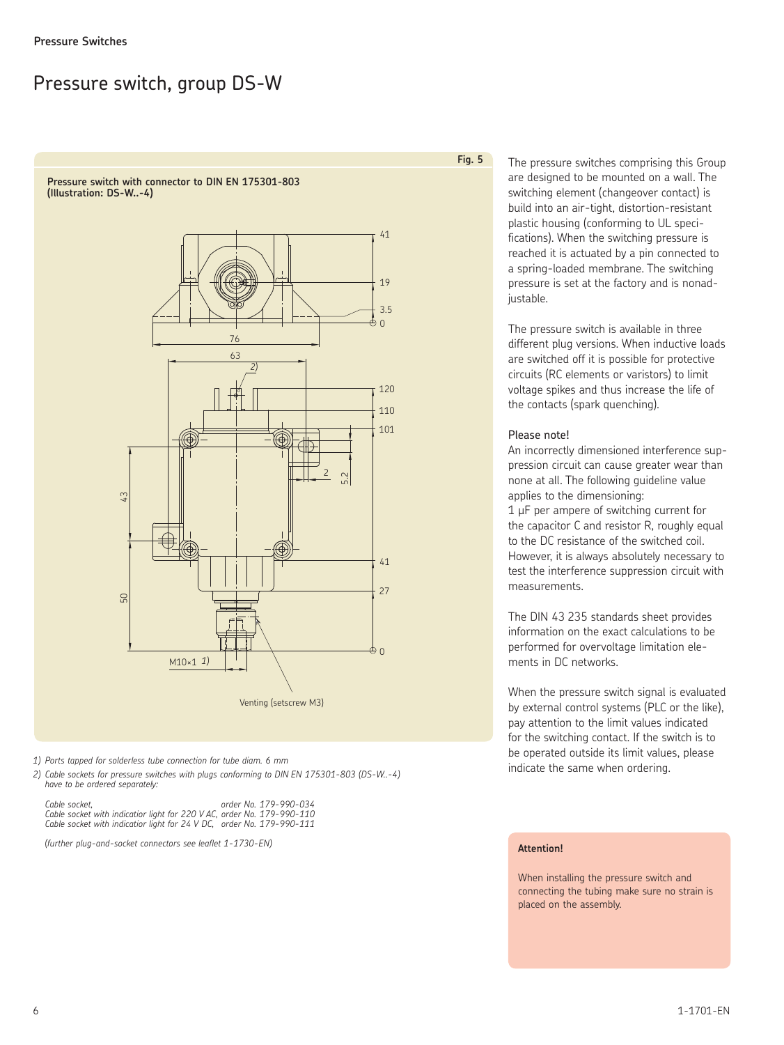### Pressure switch, group DS-W

**Pressure switch with connector to DIN EN 175301-803** (Illustration: DS-W..-4)



2) Ports tapped for solderless tube connection for tube diam. 6 mm<br>2) Cable sockets for pressure switches with plugs conforming to DIN EN 175301-803 (DS-W..-4) Provided and calcular indicate the same when ordering. *have to be ordered separately:*

 *Cable socket, order No. 179990034 Cable socket with indicatior light for 220 V AC, order No. 179990110 Cable socket with indicatior light for 24 V DC, order No. 179990111*

*(further plug-and-socket connectors see leaflet 1-1730-EN)* **Attention!**

The pressure switches comprising this Group are designed to be mounted on a wall. The switching element (changeover contact) is build into an air-tight, distortion-resistant plastic housing (conforming to UL specifications). When the switching pressure is reached it is actuated by a pin connected to a spring-loaded membrane. The switching pressure is set at the factory and is nonadjustable.

The pressure switch is available in three different plug versions. When inductive loads are switched off it is possible for protective circuits (RC elements or varistors) to limit voltage spikes and thus increase the life of the contacts (spark quenching).

#### Please note!

**Fig. 5**

An incorrectly dimensioned interference suppression circuit can cause greater wear than none at all. The following guideline value applies to the dimensioning:

1 µF per ampere of switching current for the capacitor C and resistor R, roughly equal to the DC resistance of the switched coil. However, it is always absolutely necessary to test the interference suppression circuit with measurements.

The DIN 43 235 standards sheet provides information on the exact calculations to be performed for overvoltage limitation elements in DC networks.

When the pressure switch signal is evaluated by external control systems (PLC or the like), pay attention to the limit values indicated for the switching contact. If the switch is to be operated outside its limit values, please

When installing the pressure switch and connecting the tubing make sure no strain is placed on the assembly.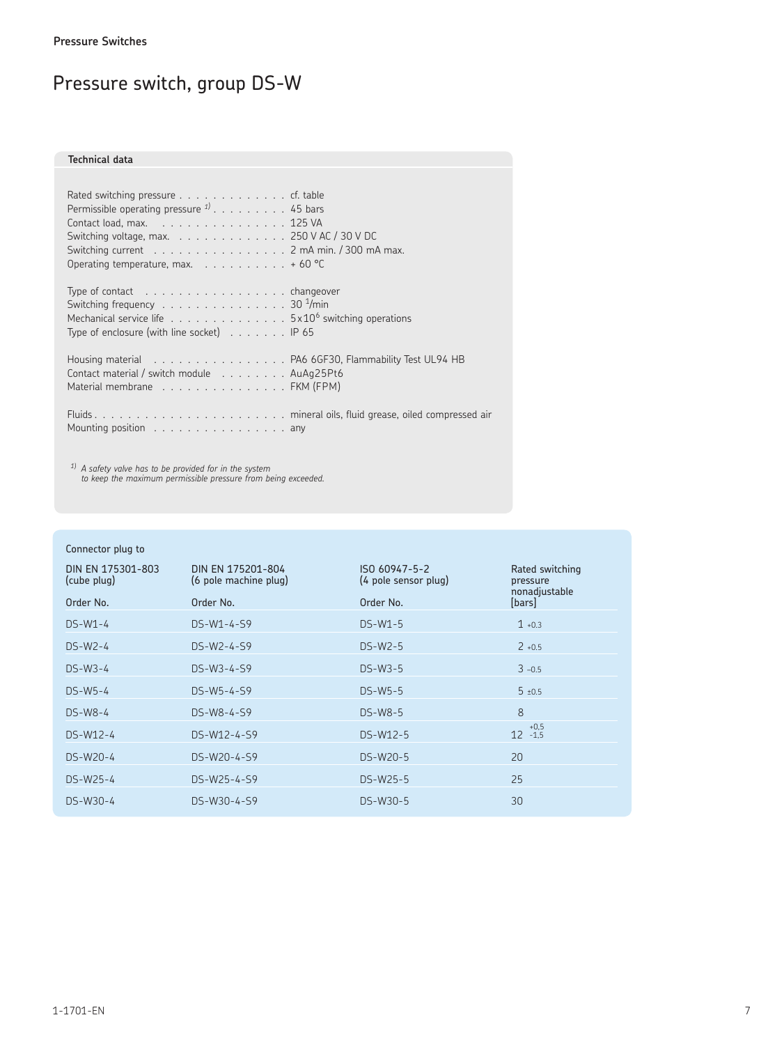## Pressure switch, group DS-W

#### **Technical data**

| Rated switching pressure $\ldots$ cf. table<br>Permissible operating pressure $1/2$ 45 bars<br>Contact load, max. $\ldots$ . 125 VA<br>Switching voltage, max. 250 V AC / 30 V DC<br>Switching current 2 mA min. / 300 mA max.<br>Operating temperature, max. $\ldots$ 60 °C |  |
|------------------------------------------------------------------------------------------------------------------------------------------------------------------------------------------------------------------------------------------------------------------------------|--|
| Type of contact $\ldots \ldots \ldots \ldots \ldots \ldots$ changeover<br>Switching frequency 30 $\frac{1}{m}$ in<br>Mechanical service life 5x10 <sup>6</sup> switching operations<br>Type of enclosure (with line socket) $\ldots \ldots$ P 65                             |  |
| Housing material et al. PA6 6GF30, Flammability Test UL94 HB<br>Contact material / switch module AuAg25Pt6<br>Material membrane FKM (FPM)                                                                                                                                    |  |
| Mounting position $\ldots \ldots \ldots \ldots \ldots$ any                                                                                                                                                                                                                   |  |

 $^{1)}$  A safety valve has to be provided for in the system<br>to keep the maximum permissible pressure from being exceeded.

### Connector plug to

| DIN EN 175301-803<br>(cube plug) | DIN EN 175201-804<br>(6 pole machine plug) | ISO 60947-5-2<br>(4 pole sensor plug) | Rated switching<br>pressure<br>nonadjustable |
|----------------------------------|--------------------------------------------|---------------------------------------|----------------------------------------------|
| Order No.                        | Order No.                                  | Order No.                             | [bars]                                       |
| $DS-W1-4$                        | $DS-W1-4-S9$                               | $DS-W1-5$                             | $1 + 0.3$                                    |
| $DS-W2-4$                        | DS-W2-4-S9                                 | $DS-W2-5$                             | $2 + 0.5$                                    |
| $DS-W3-4$                        | DS-W3-4-S9                                 | $DS-W3-5$                             | $3 - 0.5$                                    |
| $DS-W5-4$                        | DS-W5-4-S9                                 | $DS-W5-5$                             | $5 \pm 0.5$                                  |
| $DS-W8-4$                        | DS-W8-4-S9                                 | $DS-W8-5$                             | 8                                            |
| $DS-W12-4$                       | DS-W12-4-S9                                | $DS-W12-5$                            | $12 +0.5$<br>12 -1.5                         |
| DS-W20-4                         | DS-W20-4-S9                                | DS-W20-5                              | 20                                           |
| DS-W25-4                         | DS-W25-4-S9                                | DS-W25-5                              | 25                                           |
| $DS-W30-4$                       | DS-W30-4-S9                                | DS-W30-5                              | 30                                           |